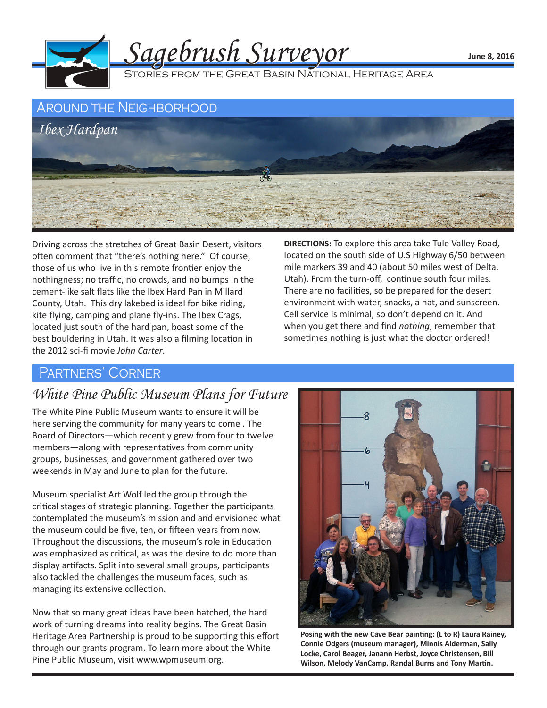



Driving across the stretches of Great Basin Desert, visitors often comment that "there's nothing here." Of course, those of us who live in this remote frontier enjoy the nothingness; no traffic, no crowds, and no bumps in the cement-like salt flats like the Ibex Hard Pan in Millard County, Utah. This dry lakebed is ideal for bike riding, kite flying, camping and plane fly-ins. The Ibex Crags, located just south of the hard pan, boast some of the best bouldering in Utah. It was also a filming location in the 2012 sci-fi movie *John Carter*.

**DIRECTIONS:** To explore this area take Tule Valley Road, located on the south side of U.S Highway 6/50 between mile markers 39 and 40 (about 50 miles west of Delta, Utah). From the turn-off, continue south four miles. There are no facilities, so be prepared for the desert environment with water, snacks, a hat, and sunscreen. Cell service is minimal, so don't depend on it. And when you get there and find *nothing*, remember that sometimes nothing is just what the doctor ordered!

## Partners' Corner

## *White Pine Public Museum Plans for Future*

The White Pine Public Museum wants to ensure it will be here serving the community for many years to come . The Board of Directors—which recently grew from four to twelve members—along with representatives from community groups, businesses, and government gathered over two weekends in May and June to plan for the future.

Museum specialist Art Wolf led the group through the critical stages of strategic planning. Together the participants contemplated the museum's mission and and envisioned what the museum could be five, ten, or fifteen years from now. Throughout the discussions, the museum's role in Education was emphasized as critical, as was the desire to do more than display artifacts. Split into several small groups, participants also tackled the challenges the museum faces, such as managing its extensive collection.

Now that so many great ideas have been hatched, the hard work of turning dreams into reality begins. The Great Basin Heritage Area Partnership is proud to be supporting this effort through our grants program. To learn more about the White Pine Public Museum, visit www.wpmuseum.org.



**Posing with the new Cave Bear painting: (L to R) Laura Rainey, Connie Odgers (museum manager), Minnis Alderman, Sally Locke, Carol Beager, Janann Herbst, Joyce Christensen, Bill Wilson, Melody VanCamp, Randal Burns and Tony Martin.**